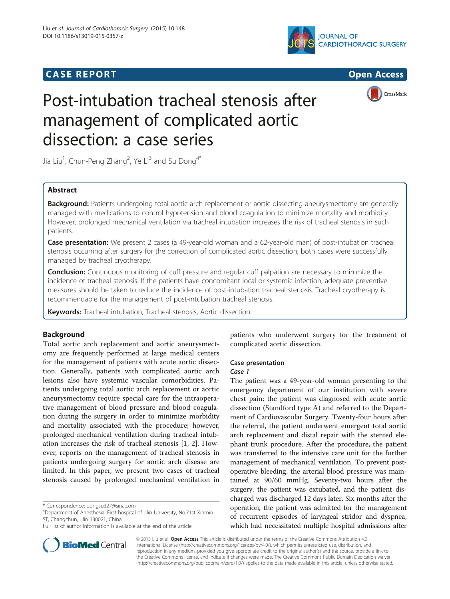## **CASE REPORT CASE REPORT CASE REPORT**





# Post-intubation tracheal stenosis after management of complicated aortic dissection: a case series

Jia Liu<sup>1</sup>, Chun-Peng Zhang<sup>2</sup>, Ye Li<sup>3</sup> and Su Dong<sup>4\*</sup>

## Abstract

Background: Patients undergoing total aortic arch replacement or aortic dissecting aneurysmectomy are generally managed with medications to control hypotension and blood coagulation to minimize mortality and morbidity. However, prolonged mechanical ventilation via tracheal intubation increases the risk of tracheal stenosis in such patients.

Case presentation: We present 2 cases (a 49-year-old woman and a 62-year-old man) of post-intubation tracheal stenosis occurring after surgery for the correction of complicated aortic dissection; both cases were successfully managed by tracheal cryotherapy.

**Conclusion:** Continuous monitoring of cuff pressure and regular cuff palpation are necessary to minimize the incidence of tracheal stenosis. If the patients have concomitant local or systemic infection, adequate preventive measures should be taken to reduce the incidence of post-intubation tracheal stenosis. Tracheal cryotherapy is recommendable for the management of post-intubation tracheal stenosis.

Keywords: Tracheal intubation, Tracheal stenosis, Aortic dissection

## Background

Total aortic arch replacement and aortic aneurysmectomy are frequently performed at large medical centers for the management of patients with acute aortic dissection. Generally, patients with complicated aortic arch lesions also have systemic vascular comorbidities. Patients undergoing total aortic arch replacement or aortic aneurysmectomy require special care for the intraoperative management of blood pressure and blood coagulation during the surgery in order to minimize morbidity and mortality associated with the procedure; however, prolonged mechanical ventilation during tracheal intubation increases the risk of tracheal stenosis [[1, 2](#page-3-0)]. However, reports on the management of tracheal stenosis in patients undergoing surgery for aortic arch disease are limited. In this paper, we present two cases of tracheal stenosis caused by prolonged mechanical ventilation in



## Case presentation

### Case 1

The patient was a 49-year-old woman presenting to the emergency department of our institution with severe chest pain; the patient was diagnosed with acute aortic dissection (Standford type A) and referred to the Department of Cardiovascular Surgery. Twenty-four hours after the referral, the patient underwent emergent total aortic arch replacement and distal repair with the stented elephant trunk procedure. After the procedure, the patient was transferred to the intensive care unit for the further management of mechanical ventilation. To prevent postoperative bleeding, the arterial blood pressure was maintained at 90/60 mmHg. Seventy-two hours after the surgery, the patient was extubated, and the patient discharged was discharged 12 days later. Six months after the operation, the patient was admitted for the management of recurrent episodes of laryngeal stridor and dyspnea, which had necessitated multiple hospital admissions after



© 2015 Liu et al. Open Access This article is distributed under the terms of the Creative Commons Attribution 4.0 International License [\(http://creativecommons.org/licenses/by/4.0/](http://creativecommons.org/licenses/by/4.0/)), which permits unrestricted use, distribution, and reproduction in any medium, provided you give appropriate credit to the original author(s) and the source, provide a link to the Creative Commons license, and indicate if changes were made. The Creative Commons Public Domain Dedication waiver [\(http://creativecommons.org/publicdomain/zero/1.0/](http://creativecommons.org/publicdomain/zero/1.0/)) applies to the data made available in this article, unless otherwise stated.

<sup>\*</sup> Correspondence: [dongsu327@sina.com](mailto:dongsu327@sina.com) <sup>4</sup>

Department of Anesthesia, First hospital of Jilin University, No.71st Xinmin ST, Changchun, Jilin 130021, China

Full list of author information is available at the end of the article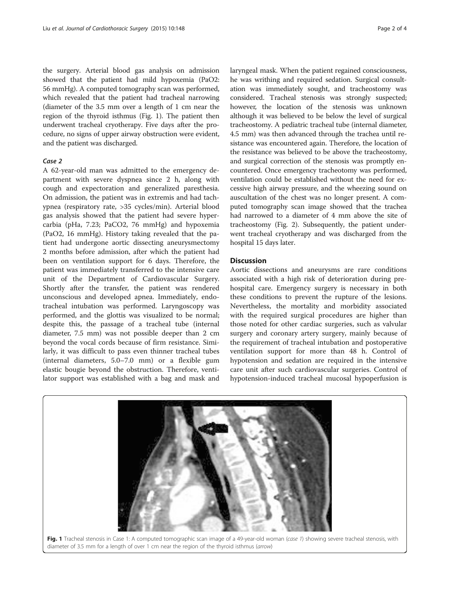the surgery. Arterial blood gas analysis on admission showed that the patient had mild hypoxemia (PaO2: 56 mmHg). A computed tomography scan was performed, which revealed that the patient had tracheal narrowing (diameter of the 3.5 mm over a length of 1 cm near the region of the thyroid isthmus (Fig. 1). The patient then underwent tracheal cryotherapy. Five days after the procedure, no signs of upper airway obstruction were evident, and the patient was discharged.

## Case 2

A 62-year-old man was admitted to the emergency department with severe dyspnea since 2 h, along with cough and expectoration and generalized paresthesia. On admission, the patient was in extremis and had tachypnea (respiratory rate, >35 cycles/min). Arterial blood gas analysis showed that the patient had severe hypercarbia (pHa, 7.23; PaCO2, 76 mmHg) and hypoxemia (PaO2, 16 mmHg). History taking revealed that the patient had undergone aortic dissecting aneurysmectomy 2 months before admission, after which the patient had been on ventilation support for 6 days. Therefore, the patient was immediately transferred to the intensive care unit of the Department of Cardiovascular Surgery. Shortly after the transfer, the patient was rendered unconscious and developed apnea. Immediately, endotracheal intubation was performed. Laryngoscopy was performed, and the glottis was visualized to be normal; despite this, the passage of a tracheal tube (internal diameter, 7.5 mm) was not possible deeper than 2 cm beyond the vocal cords because of firm resistance. Similarly, it was difficult to pass even thinner tracheal tubes (internal diameters, 5.0–7.0 mm) or a flexible gum elastic bougie beyond the obstruction. Therefore, ventilator support was established with a bag and mask and

laryngeal mask. When the patient regained consciousness, he was writhing and required sedation. Surgical consultation was immediately sought, and tracheostomy was considered. Tracheal stenosis was strongly suspected; however, the location of the stenosis was unknown although it was believed to be below the level of surgical tracheostomy. A pediatric tracheal tube (internal diameter, 4.5 mm) was then advanced through the trachea until resistance was encountered again. Therefore, the location of the resistance was believed to be above the tracheostomy, and surgical correction of the stenosis was promptly encountered. Once emergency tracheotomy was performed, ventilation could be established without the need for excessive high airway pressure, and the wheezing sound on auscultation of the chest was no longer present. A computed tomography scan image showed that the trachea had narrowed to a diameter of 4 mm above the site of tracheostomy (Fig. [2\)](#page-2-0). Subsequently, the patient underwent tracheal cryotherapy and was discharged from the hospital 15 days later.

## **Discussion**

Aortic dissections and aneurysms are rare conditions associated with a high risk of deterioration during prehospital care. Emergency surgery is necessary in both these conditions to prevent the rupture of the lesions. Nevertheless, the mortality and morbidity associated with the required surgical procedures are higher than those noted for other cardiac surgeries, such as valvular surgery and coronary artery surgery, mainly because of the requirement of tracheal intubation and postoperative ventilation support for more than 48 h. Control of hypotension and sedation are required in the intensive care unit after such cardiovascular surgeries. Control of hypotension-induced tracheal mucosal hypoperfusion is



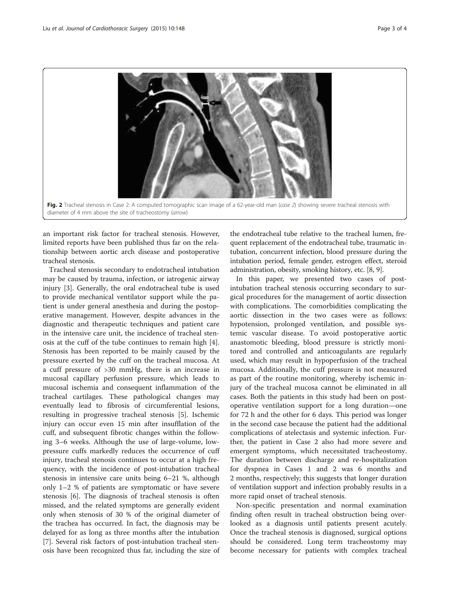

<span id="page-2-0"></span>

an important risk factor for tracheal stenosis. However, limited reports have been published thus far on the relationship between aortic arch disease and postoperative tracheal stenosis.

Tracheal stenosis secondary to endotracheal intubation may be caused by trauma, infection, or iatrogenic airway injury [[3\]](#page-3-0). Generally, the oral endotracheal tube is used to provide mechanical ventilator support while the patient is under general anesthesia and during the postoperative management. However, despite advances in the diagnostic and therapeutic techniques and patient care in the intensive care unit, the incidence of tracheal stenosis at the cuff of the tube continues to remain high [\[4](#page-3-0)]. Stenosis has been reported to be mainly caused by the pressure exerted by the cuff on the tracheal mucosa. At a cuff pressure of >30 mmHg, there is an increase in mucosal capillary perfusion pressure, which leads to mucosal ischemia and consequent inflammation of the tracheal cartilages. These pathological changes may eventually lead to fibrosis of circumferential lesions, resulting in progressive tracheal stenosis [[5\]](#page-3-0). Ischemic injury can occur even 15 min after insufflation of the cuff, and subsequent fibrotic changes within the following 3–6 weeks. Although the use of large-volume, lowpressure cuffs markedly reduces the occurrence of cuff injury, tracheal stenosis continues to occur at a high frequency, with the incidence of post-intubation tracheal stenosis in intensive care units being 6–21 %, although only 1–2 % of patients are symptomatic or have severe stenosis [\[6](#page-3-0)]. The diagnosis of tracheal stenosis is often missed, and the related symptoms are generally evident only when stenosis of 30 % of the original diameter of the trachea has occurred. In fact, the diagnosis may be delayed for as long as three months after the intubation [[7\]](#page-3-0). Several risk factors of post-intubation tracheal stenosis have been recognized thus far, including the size of

the endotracheal tube relative to the tracheal lumen, frequent replacement of the endotracheal tube, traumatic intubation, concurrent infection, blood pressure during the intubation period, female gender, estrogen effect, steroid administration, obesity, smoking history, etc. [[8](#page-3-0), [9](#page-3-0)].

In this paper, we presented two cases of postintubation tracheal stenosis occurring secondary to surgical procedures for the management of aortic dissection with complications. The comorbidities complicating the aortic dissection in the two cases were as follows: hypotension, prolonged ventilation, and possible systemic vascular disease. To avoid postoperative aortic anastomotic bleeding, blood pressure is strictly monitored and controlled and anticoagulants are regularly used, which may result in hypoperfusion of the tracheal mucosa. Additionally, the cuff pressure is not measured as part of the routine monitoring, whereby ischemic injury of the tracheal mucosa cannot be eliminated in all cases. Both the patients in this study had been on postoperative ventilation support for a long duration—one for 72 h and the other for 6 days. This period was longer in the second case because the patient had the additional complications of atelectasis and systemic infection. Further, the patient in Case 2 also had more severe and emergent symptoms, which necessitated tracheostomy. The duration between discharge and re-hospitalization for dyspnea in Cases 1 and 2 was 6 months and 2 months, respectively; this suggests that longer duration of ventilation support and infection probably results in a more rapid onset of tracheal stenosis.

Non-specific presentation and normal examination finding often result in tracheal obstruction being overlooked as a diagnosis until patients present acutely. Once the tracheal stenosis is diagnosed, surgical options should be considered. Long term tracheostomy may become necessary for patients with complex tracheal